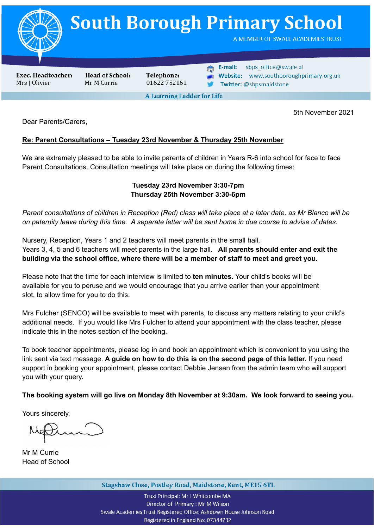

5th November 2021

Dear Parents/Carers,

## **Re: Parent Consultations – Tuesday 23rd November & Thursday 25th November**

We are extremely pleased to be able to invite parents of children in Years R-6 into school for face to face Parent Consultations. Consultation meetings will take place on during the following times:

## **Tuesday 23rd November 3:30-7pm Thursday 25th November 3:30-6pm**

Parent consultations of children in Reception (Red) class will take place at a later date, as Mr Blanco will be on paternity leave during this time. A separate letter will be sent home in due course to advise of dates.

Nursery, Reception, Years 1 and 2 teachers will meet parents in the small hall. Years 3, 4, 5 and 6 teachers will meet parents in the large hall. **All parents should enter and exit the building via the school office, where there will be a member of staff to meet and greet you.**

Please note that the time for each interview is limited to **ten minutes**. Your child's books will be available for you to peruse and we would encourage that you arrive earlier than your appointment slot, to allow time for you to do this.

Mrs Fulcher (SENCO) will be available to meet with parents, to discuss any matters relating to your child's additional needs. If you would like Mrs Fulcher to attend your appointment with the class teacher, please indicate this in the notes section of the booking.

To book teacher appointments, please log in and book an appointment which is convenient to you using the link sent via text message. **A guide on how to do this is on the second page of this letter.** If you need support in booking your appointment, please contact Debbie Jensen from the admin team who will support you with your query.

**The booking system will go live on Monday 8th November at 9:30am. We look forward to seeing you.**

Yours sincerely,

Mr M Currie Head of School

Stagshaw Close, Postley Road, Maidstone, Kent, ME15 6TL

Trust Principal: Mr J Whitcombe MA Director of Primary: Mr M Wilson Swale Academies Trust Registered Office: Ashdown House Johnson Road Registered in England No: 07344732